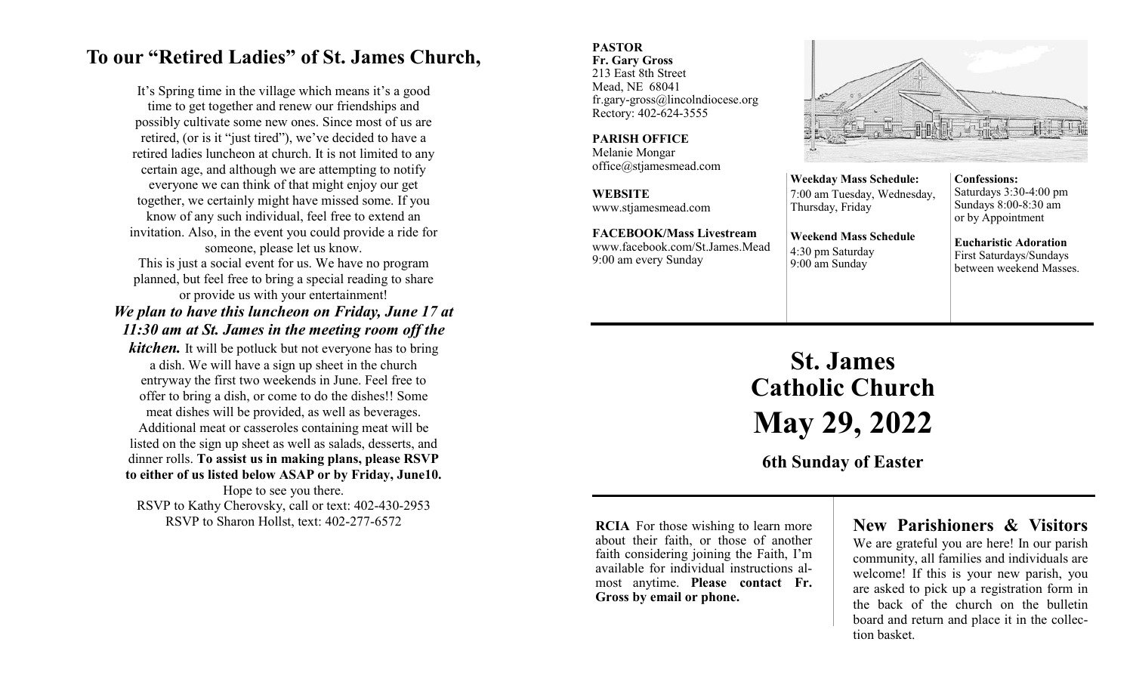## **To our "Retired Ladies" of St. James Church,**

It's Spring time in the village which means it's a good time to get together and renew our friendships and possibly cultivate some new ones. Since most of us are retired, (or is it "just tired"), we've decided to have a retired ladies luncheon at church. It is not limited to any certain age, and although we are attempting to notify everyone we can think of that might enjoy our get together, we certainly might have missed some. If you know of any such individual, feel free to extend an invitation. Also, in the event you could provide a ride for someone, please let us know.

This is just a social event for us. We have no program planned, but feel free to bring a special reading to share or provide us with your entertainment!

## *We plan to have this luncheon on Friday, June 17 at 11:30 am at St. James in the meeting room off the*

*kitchen.* It will be potluck but not everyone has to bring a dish. We will have a sign up sheet in the church entryway the first two weekends in June. Feel free to offer to bring a dish, or come to do the dishes!! Some meat dishes will be provided, as well as beverages. Additional meat or casseroles containing meat will be listed on the sign up sheet as well as salads, desserts, and dinner rolls. **To assist us in making plans, please RSVP to either of us listed below ASAP or by Friday, June10.** Hope to see you there. RSVP to Kathy Cherovsky, call or text: 402-430-2953

RSVP to Sharon Hollst, text: 402-277-6572

#### **PASTOR Fr. Gary Gross**

213 East 8th Street Mead, NE 68041 fr.gary-gross@lincolndiocese.org Rectory: 402-624-3555

**PARISH OFFICE** Melanie Mongar office@stjamesmead.com

**WEBSITE** www.stjamesmead.com

**FACEBOOK/Mass Livestream** [www.facebook.com/St.James.Mead](https://www.facebook.com/St.James.Mead/) 9:00 am every Sunday



**Weekday Mass Schedule:**  7:00 am Tuesday, Wednesday, Thursday, Friday **Weekend Mass Schedule**

4:30 pm Saturday 9:00 am Sunday

**Confessions:**  Saturdays 3:30-4:00 pm Sundays 8:00-8:30 am or by Appointment

**Eucharistic Adoration**  First Saturdays/Sundays between weekend Masses.

# **St. James Catholic Church May 29, 2022**

**6th Sunday of Easter**

**RCIA** For those wishing to learn more about their faith, or those of another faith considering joining the Faith, I'm available for individual instructions almost anytime. **Please contact Fr. Gross by email or phone.**

## **New Parishioners & Visitors**

We are grateful you are here! In our parish community, all families and individuals are welcome! If this is your new parish, you are asked to pick up a registration form in the back of the church on the bulletin board and return and place it in the collection basket.